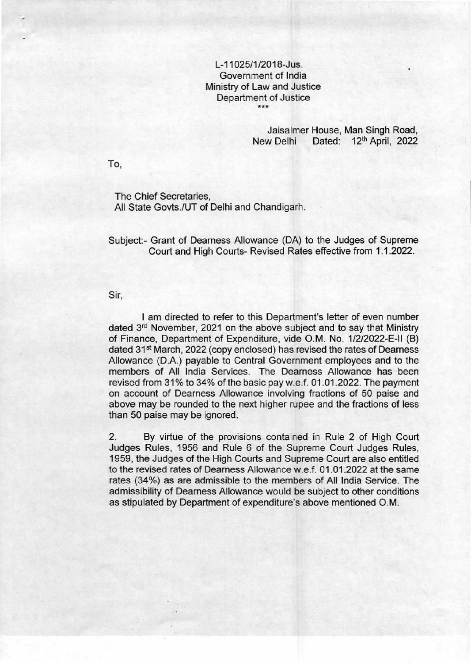## L-11025/1/2018-Jus. Government of India Ministry of Law and Justice Department of Justice \*\*\*

## Jaisalmer House, Man Singh Road, New Delhi Dated: 12<sup>th</sup> April, 2022

To,

The Chief Secretaries, All State Govts./UT of Delhi and Chandigarh.

Subject:- Grant of Dearness Allowance (DA) to the Judges of Supreme Court and High Courts- Revised Rates effective from 1.1.2022.

Sir,

I am directed to refer to this Department's letter of even number dated 3<sup>rd</sup> November, 2021 on the above subject and to say that Ministry of Finance, Department of Expenditure, vide O.M. No. 1/2/2022-E-II (B) dated 31<sup>st</sup> March, 2022 (copy enclosed) has revised the rates of Dearness Allowance (D.A.) payable to Central Government employees and to the members of All India Services. The Dearness Allowance has been revised from 31% to 34% of the basic pay w.e.f. 01.01.2022. The payment on account of Dearness Allowance involving fractions of 50 paise and above may be rounded to the next higher rupee and the fractions of less than 50 paise may be ignored.

2. By virtue of the provisions contained in Rule 2 of High Court Judges Rules, 1956 and Rule 6 of the Supreme Court Judges Rules, 1959, the Judges of the High Courts and Supreme Court are also entitled to the revised rates of Dearness Allowance w.e.f. 01.01.2022 at the same rates (34%) as are admissible to the members of All India Service. The admissibility of Dearness Allowance would be subject to other conditions as stipulated by Department of expenditure's above mentioned O.M.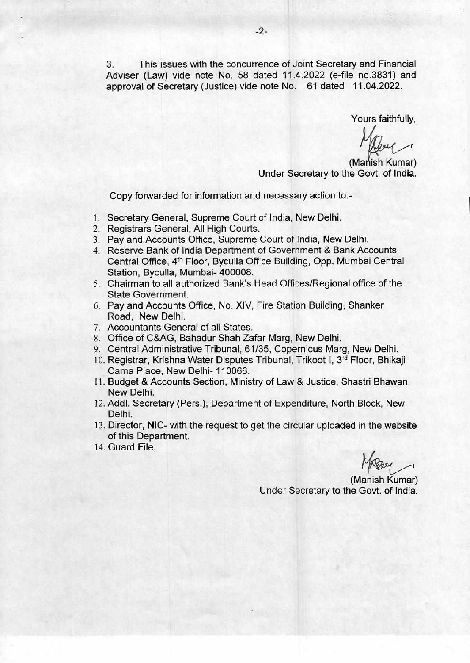3. This issues with the concurrence of Joint Secretary and Financial Adviser (Law) vide note No. 58 dated 11.4.2022 (e-file no.3831) and approval of Secretary (Justice) vide note No. 61 dated 11.04.2022.

Yours faithfully,

(Manish Kumar) Under Secretary to the Govt. of India.

Copy forwarded for information and necessary action to:-

- 1. Secretary General, Supreme Court of India, New Delhi.
- 2. Registrars General, All High Courts.
- 3. Pay and Accounts Office, Supreme Court of India, New Delhi.
- 4. Reserve Bank of India Department of Government & Bank Accounts Central Office, 4th Floor, Byculla Office Building, Opp. Mumbai Central Station, Byculla, Mumbai- 400008.
- 5. Chairman to all authorized Bank's Head Offices/Regional office of the State Government.
- 6. Pay and Accounts Office, No. XIV, Fire Station Building, Shanker Road, New Delhi.
- 7. Accountants General of all States.
- 8. Office of C&AG, Bahadur Shah Zafar Marg, New Delhi.
- 9. Central Administrative Tribunal, 61/35, Copernicus Marg, New Delhi.
- 10. Registrar, Krishna Water Disputes Tribunal, Trikoot-I, 3rd Floor, Bhikaji Cama Place, New Delhi- 110066.
- 11. Budget & Accounts Section, Ministry of Law & Justice, Shastri Bhawan, New Delhi.
- 12. Addl. Secretary (Pers.), Department of Expenditure, North Block, New Delhi.
- 13. Director, NIC- with the request to get the circular uploaded in the website of this Department.
- 14. Guard File.

(Manish Kumar) Under Secretary to the Govt. of India.